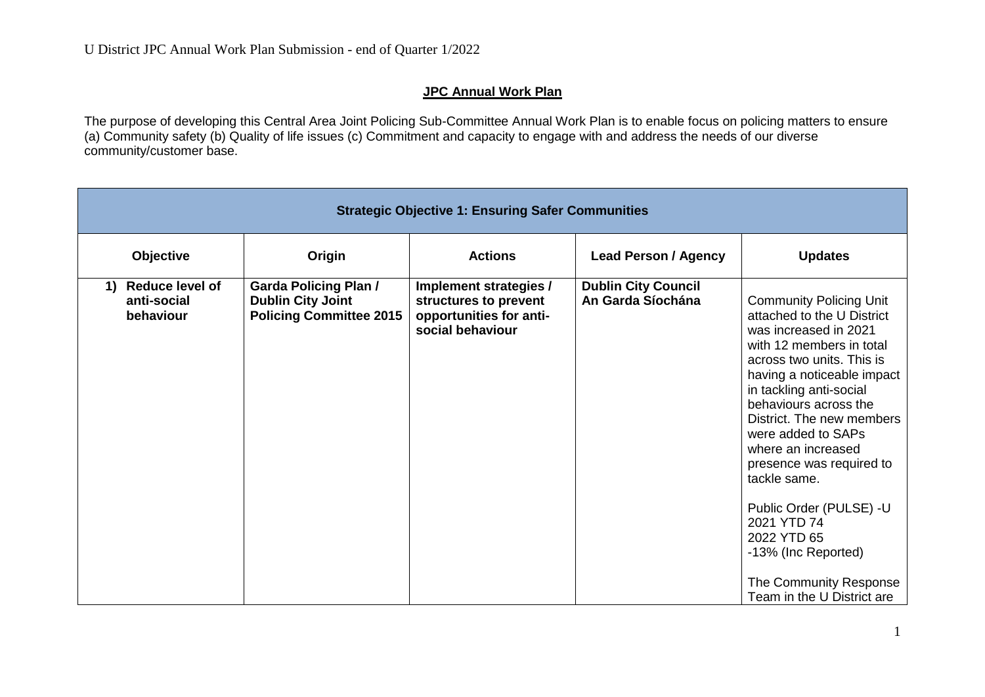## **JPC Annual Work Plan**

The purpose of developing this Central Area Joint Policing Sub-Committee Annual Work Plan is to enable focus on policing matters to ensure (a) Community safety (b) Quality of life issues (c) Commitment and capacity to engage with and address the needs of our diverse community/customer base.

| <b>Strategic Objective 1: Ensuring Safer Communities</b> |                                                                                            |                                                                                                |                                                 |                                                                                                                                                                                                                                                                                                                                                                                                                                                                                               |  |
|----------------------------------------------------------|--------------------------------------------------------------------------------------------|------------------------------------------------------------------------------------------------|-------------------------------------------------|-----------------------------------------------------------------------------------------------------------------------------------------------------------------------------------------------------------------------------------------------------------------------------------------------------------------------------------------------------------------------------------------------------------------------------------------------------------------------------------------------|--|
| <b>Objective</b>                                         | Origin                                                                                     | <b>Actions</b>                                                                                 | <b>Lead Person / Agency</b>                     | <b>Updates</b>                                                                                                                                                                                                                                                                                                                                                                                                                                                                                |  |
| Reduce level of<br>1)<br>anti-social<br>behaviour        | <b>Garda Policing Plan /</b><br><b>Dublin City Joint</b><br><b>Policing Committee 2015</b> | Implement strategies /<br>structures to prevent<br>opportunities for anti-<br>social behaviour | <b>Dublin City Council</b><br>An Garda Síochána | <b>Community Policing Unit</b><br>attached to the U District<br>was increased in 2021<br>with 12 members in total<br>across two units. This is<br>having a noticeable impact<br>in tackling anti-social<br>behaviours across the<br>District. The new members<br>were added to SAPs<br>where an increased<br>presence was required to<br>tackle same.<br>Public Order (PULSE) -U<br>2021 YTD 74<br>2022 YTD 65<br>-13% (Inc Reported)<br>The Community Response<br>Team in the U District are |  |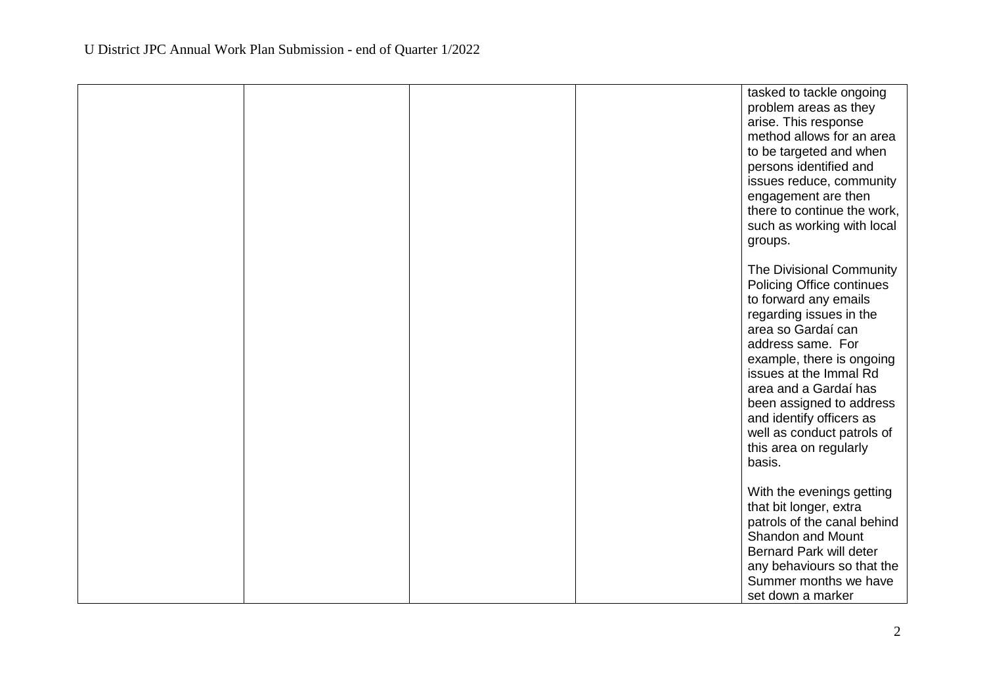|  |  | tasked to tackle ongoing<br>problem areas as they<br>arise. This response<br>method allows for an area<br>to be targeted and when<br>persons identified and<br>issues reduce, community<br>engagement are then<br>there to continue the work,<br>such as working with local<br>groups.                                                                         |
|--|--|----------------------------------------------------------------------------------------------------------------------------------------------------------------------------------------------------------------------------------------------------------------------------------------------------------------------------------------------------------------|
|  |  | The Divisional Community<br>Policing Office continues<br>to forward any emails<br>regarding issues in the<br>area so Gardaí can<br>address same. For<br>example, there is ongoing<br>issues at the Immal Rd<br>area and a Gardaí has<br>been assigned to address<br>and identify officers as<br>well as conduct patrols of<br>this area on regularly<br>basis. |
|  |  | With the evenings getting<br>that bit longer, extra<br>patrols of the canal behind<br><b>Shandon and Mount</b><br>Bernard Park will deter<br>any behaviours so that the<br>Summer months we have<br>set down a marker                                                                                                                                          |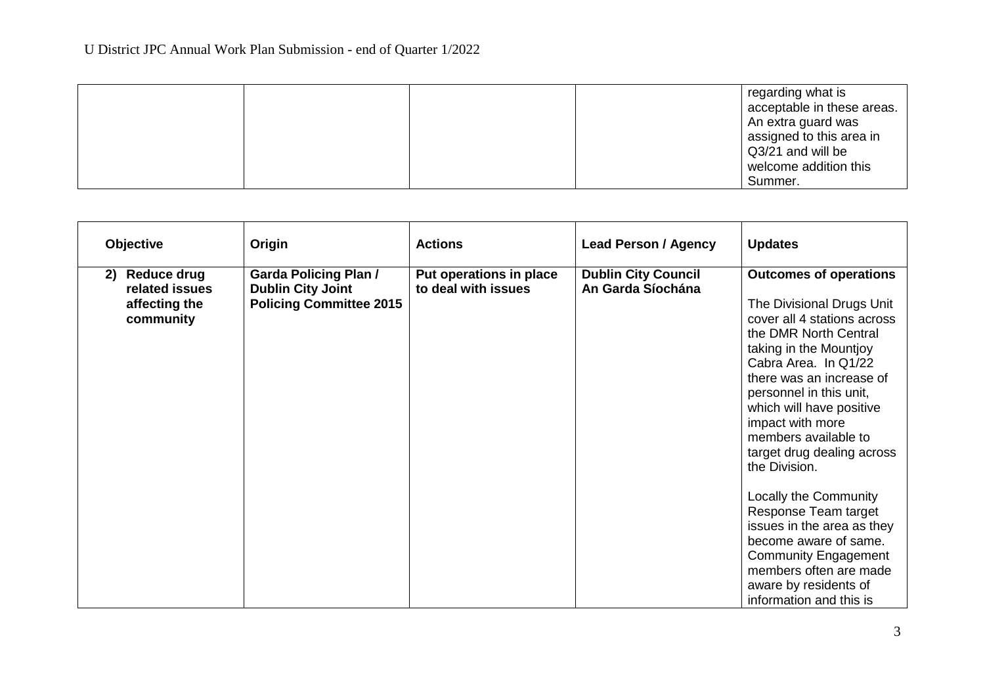|  |  | regarding what is<br>acceptable in these areas.<br>An extra guard was<br>assigned to this area in<br>Q3/21 and will be<br>welcome addition this |
|--|--|-------------------------------------------------------------------------------------------------------------------------------------------------|
|  |  | Summer.                                                                                                                                         |

| <b>Objective</b>                                                         | Origin                                                                                     | <b>Actions</b>                                 | <b>Lead Person / Agency</b>                     | <b>Updates</b>                                                                                                                                                                                                                                                                                                                                                                                                                                                                                                                                                          |
|--------------------------------------------------------------------------|--------------------------------------------------------------------------------------------|------------------------------------------------|-------------------------------------------------|-------------------------------------------------------------------------------------------------------------------------------------------------------------------------------------------------------------------------------------------------------------------------------------------------------------------------------------------------------------------------------------------------------------------------------------------------------------------------------------------------------------------------------------------------------------------------|
| <b>Reduce drug</b><br>2)<br>related issues<br>affecting the<br>community | <b>Garda Policing Plan /</b><br><b>Dublin City Joint</b><br><b>Policing Committee 2015</b> | Put operations in place<br>to deal with issues | <b>Dublin City Council</b><br>An Garda Síochána | <b>Outcomes of operations</b><br>The Divisional Drugs Unit<br>cover all 4 stations across<br>the DMR North Central<br>taking in the Mountjoy<br>Cabra Area. In Q1/22<br>there was an increase of<br>personnel in this unit,<br>which will have positive<br>impact with more<br>members available to<br>target drug dealing across<br>the Division.<br>Locally the Community<br>Response Team target<br>issues in the area as they<br>become aware of same.<br><b>Community Engagement</b><br>members often are made<br>aware by residents of<br>information and this is |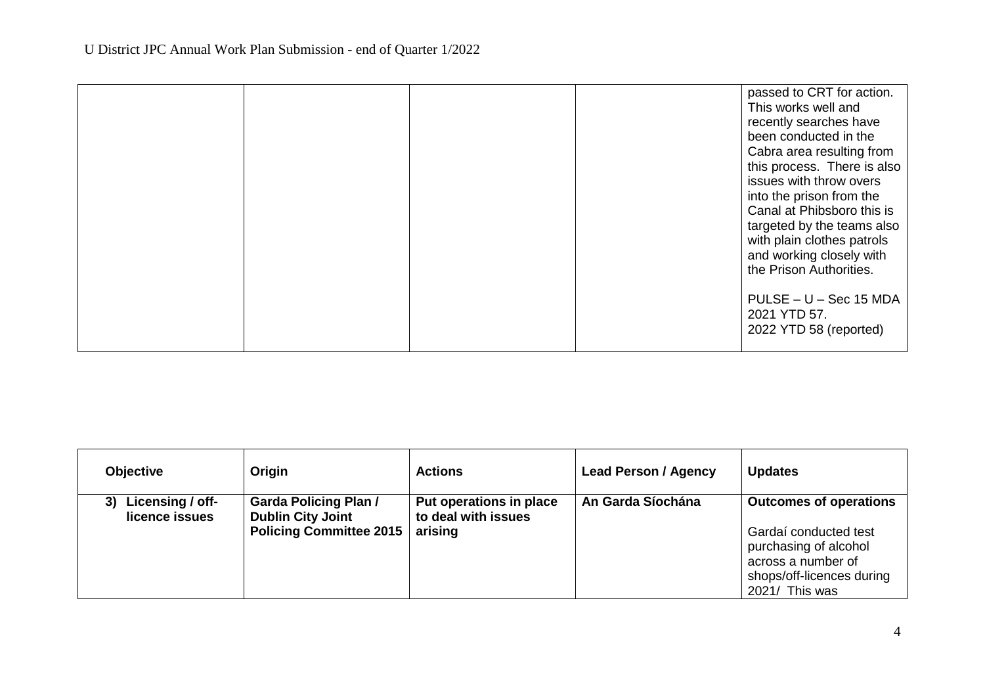|  | passed to CRT for action.   |
|--|-----------------------------|
|  | This works well and         |
|  | recently searches have      |
|  | been conducted in the       |
|  | Cabra area resulting from   |
|  | this process. There is also |
|  | issues with throw overs     |
|  | into the prison from the    |
|  | Canal at Phibsboro this is  |
|  | targeted by the teams also  |
|  | with plain clothes patrols  |
|  | and working closely with    |
|  | the Prison Authorities.     |
|  |                             |
|  | PULSE - U - Sec 15 MDA      |
|  | 2021 YTD 57.                |
|  | 2022 YTD 58 (reported)      |
|  |                             |
|  |                             |

| <b>Objective</b>                   | Origin                                                                                     | <b>Actions</b>                                            | <b>Lead Person / Agency</b> | <b>Updates</b>                                                                                                                                       |
|------------------------------------|--------------------------------------------------------------------------------------------|-----------------------------------------------------------|-----------------------------|------------------------------------------------------------------------------------------------------------------------------------------------------|
| Licensing / off-<br>licence issues | <b>Garda Policing Plan /</b><br><b>Dublin City Joint</b><br><b>Policing Committee 2015</b> | Put operations in place<br>to deal with issues<br>arising | An Garda Síochána           | <b>Outcomes of operations</b><br>Gardaí conducted test<br>purchasing of alcohol<br>across a number of<br>shops/off-licences during<br>2021/ This was |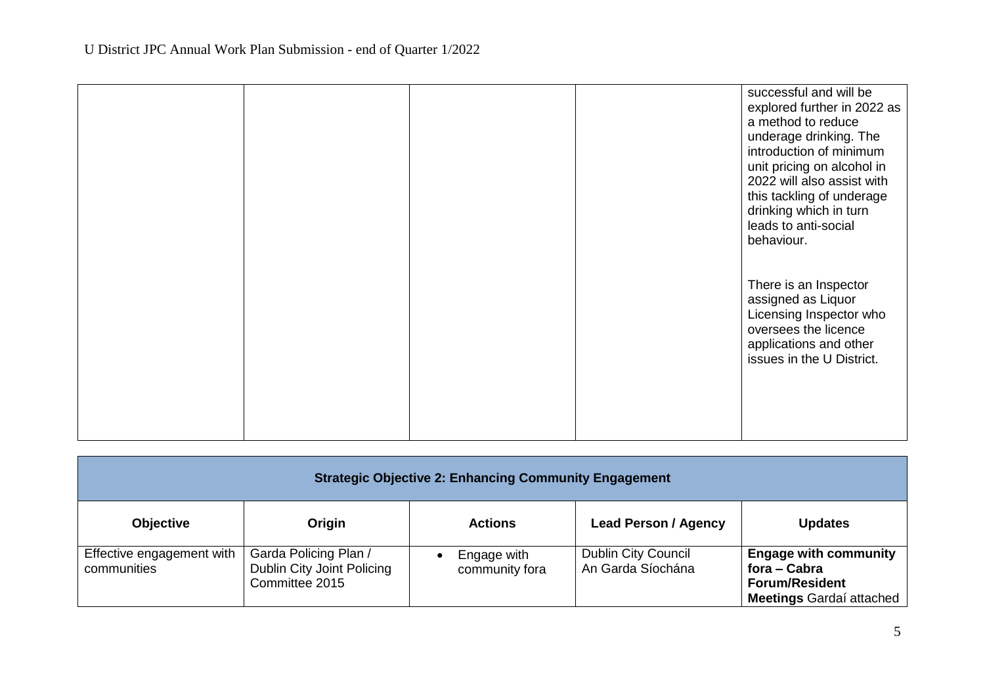|  |  | successful and will be<br>explored further in 2022 as<br>a method to reduce<br>underage drinking. The<br>introduction of minimum<br>unit pricing on alcohol in<br>2022 will also assist with<br>this tackling of underage<br>drinking which in turn<br>leads to anti-social<br>behaviour. |
|--|--|-------------------------------------------------------------------------------------------------------------------------------------------------------------------------------------------------------------------------------------------------------------------------------------------|
|  |  | There is an Inspector<br>assigned as Liquor<br>Licensing Inspector who<br>oversees the licence<br>applications and other<br>issues in the U District.                                                                                                                                     |

| <b>Strategic Objective 2: Enhancing Community Engagement</b> |                                                                       |                               |                                                 |                                                                                                          |
|--------------------------------------------------------------|-----------------------------------------------------------------------|-------------------------------|-------------------------------------------------|----------------------------------------------------------------------------------------------------------|
| <b>Objective</b>                                             | Origin                                                                | <b>Actions</b>                | <b>Lead Person / Agency</b>                     | <b>Updates</b>                                                                                           |
| Effective engagement with<br>communities                     | Garda Policing Plan /<br>Dublin City Joint Policing<br>Committee 2015 | Engage with<br>community fora | <b>Dublin City Council</b><br>An Garda Síochána | <b>Engage with community</b><br>fora – Cabra<br><b>Forum/Resident</b><br><b>Meetings Gardaí attached</b> |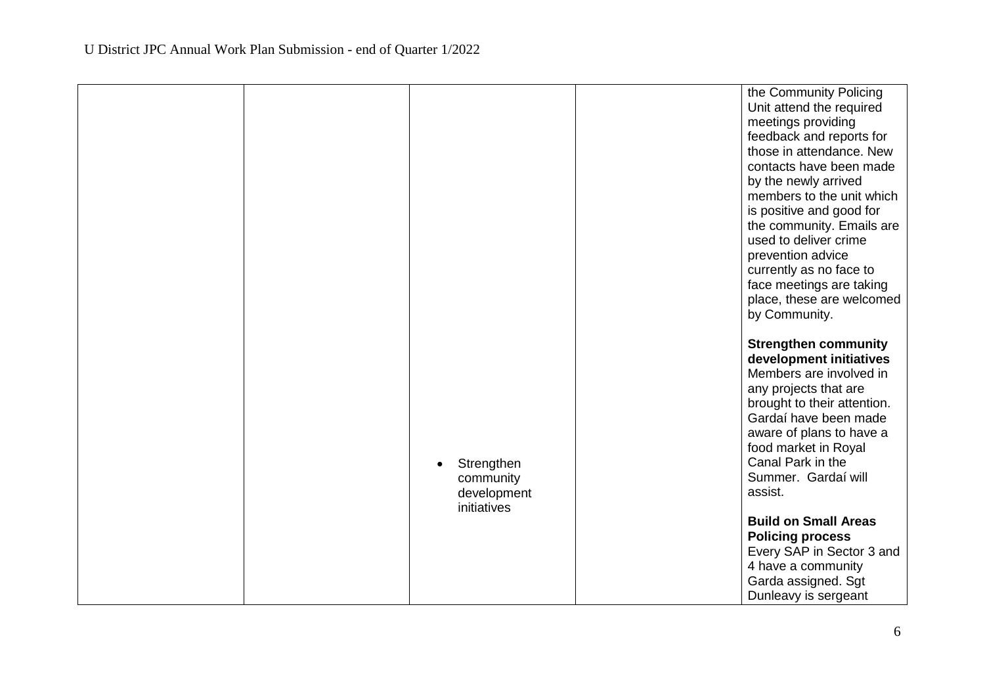|  |                                      | the Community Policing                                |
|--|--------------------------------------|-------------------------------------------------------|
|  |                                      | Unit attend the required                              |
|  |                                      | meetings providing<br>feedback and reports for        |
|  |                                      | those in attendance. New                              |
|  |                                      | contacts have been made                               |
|  |                                      | by the newly arrived                                  |
|  |                                      | members to the unit which                             |
|  |                                      | is positive and good for                              |
|  |                                      | the community. Emails are                             |
|  |                                      | used to deliver crime                                 |
|  |                                      | prevention advice                                     |
|  |                                      | currently as no face to                               |
|  |                                      | face meetings are taking<br>place, these are welcomed |
|  |                                      | by Community.                                         |
|  |                                      |                                                       |
|  |                                      | <b>Strengthen community</b>                           |
|  |                                      | development initiatives                               |
|  |                                      | Members are involved in                               |
|  |                                      | any projects that are                                 |
|  |                                      | brought to their attention.                           |
|  |                                      | Gardaí have been made                                 |
|  |                                      | aware of plans to have a                              |
|  |                                      | food market in Royal<br>Canal Park in the             |
|  | Strengthen<br>$\bullet$<br>community | Summer. Gardaí will                                   |
|  | development                          | assist.                                               |
|  | initiatives                          |                                                       |
|  |                                      | <b>Build on Small Areas</b>                           |
|  |                                      | <b>Policing process</b>                               |
|  |                                      | Every SAP in Sector 3 and                             |
|  |                                      | 4 have a community                                    |
|  |                                      | Garda assigned. Sgt                                   |
|  |                                      | Dunleavy is sergeant                                  |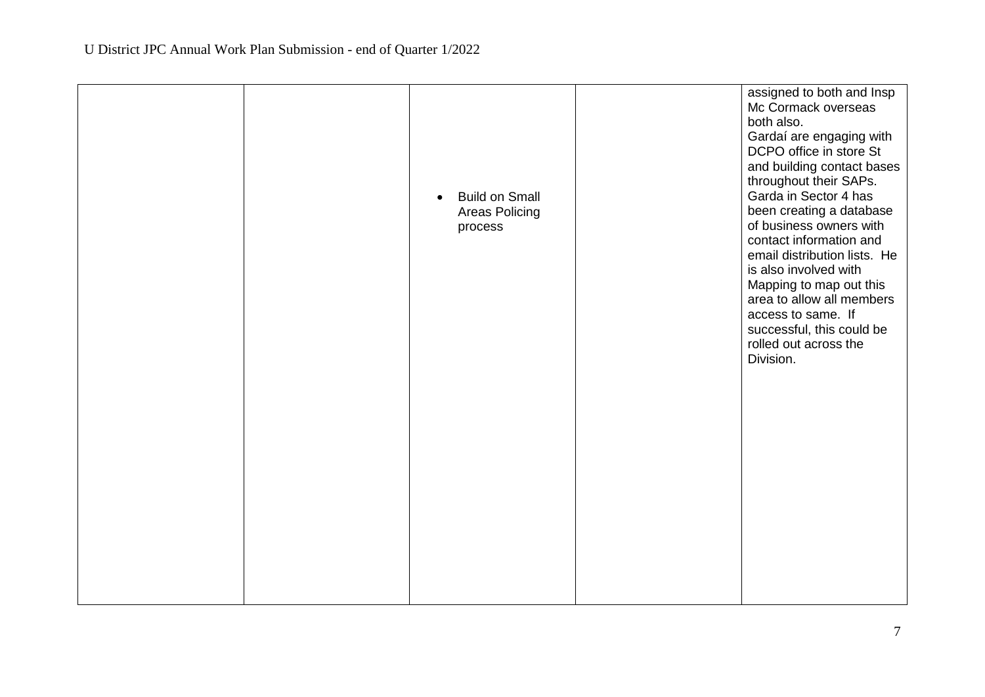|  | <b>Build on Small</b><br>$\bullet$<br>Areas Policing<br>process | assigned to both and Insp<br>Mc Cormack overseas<br>both also.<br>Gardaí are engaging with<br>DCPO office in store St<br>and building contact bases<br>throughout their SAPs.<br>Garda in Sector 4 has<br>been creating a database<br>of business owners with<br>contact information and<br>email distribution lists. He<br>is also involved with<br>Mapping to map out this<br>area to allow all members<br>access to same. If<br>successful, this could be<br>rolled out across the<br>Division. |
|--|-----------------------------------------------------------------|----------------------------------------------------------------------------------------------------------------------------------------------------------------------------------------------------------------------------------------------------------------------------------------------------------------------------------------------------------------------------------------------------------------------------------------------------------------------------------------------------|
|  |                                                                 |                                                                                                                                                                                                                                                                                                                                                                                                                                                                                                    |
|  |                                                                 |                                                                                                                                                                                                                                                                                                                                                                                                                                                                                                    |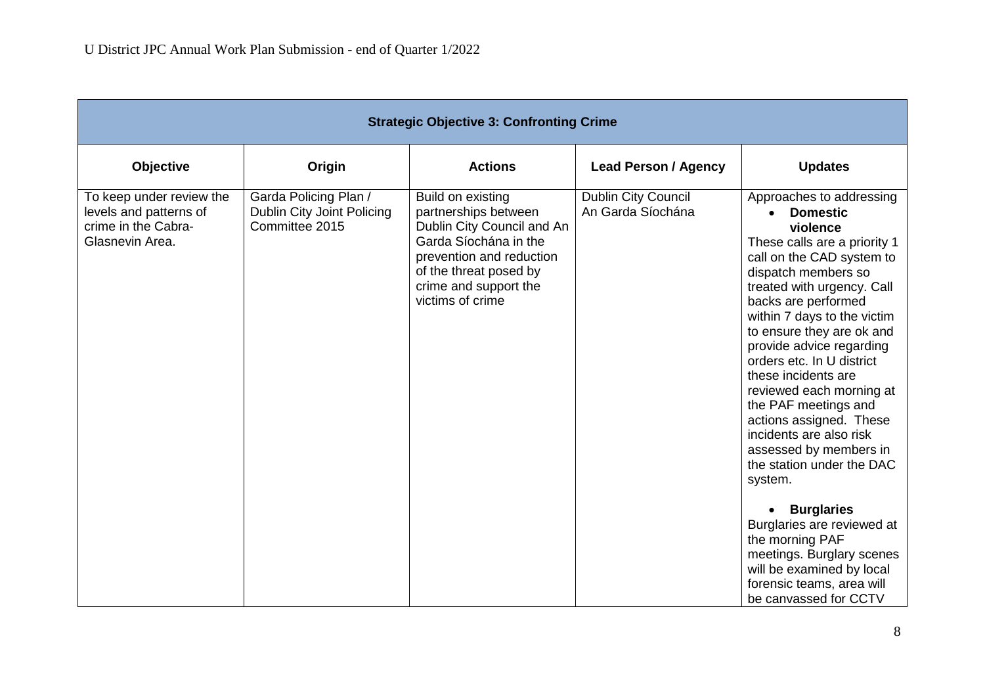|                                                                       | <b>Strategic Objective 3: Confronting Crime</b>                                                                                                                                                     |                                                 |                                                                                                                                                                                                                                                                                                                                                                                                                                                                                                                                                                                                                                                                                                                 |  |  |  |
|-----------------------------------------------------------------------|-----------------------------------------------------------------------------------------------------------------------------------------------------------------------------------------------------|-------------------------------------------------|-----------------------------------------------------------------------------------------------------------------------------------------------------------------------------------------------------------------------------------------------------------------------------------------------------------------------------------------------------------------------------------------------------------------------------------------------------------------------------------------------------------------------------------------------------------------------------------------------------------------------------------------------------------------------------------------------------------------|--|--|--|
| Origin                                                                | <b>Actions</b>                                                                                                                                                                                      | <b>Lead Person / Agency</b>                     | <b>Updates</b>                                                                                                                                                                                                                                                                                                                                                                                                                                                                                                                                                                                                                                                                                                  |  |  |  |
| Garda Policing Plan /<br>Dublin City Joint Policing<br>Committee 2015 | Build on existing<br>partnerships between<br>Dublin City Council and An<br>Garda Síochána in the<br>prevention and reduction<br>of the threat posed by<br>crime and support the<br>victims of crime | <b>Dublin City Council</b><br>An Garda Síochána | Approaches to addressing<br><b>Domestic</b><br>$\bullet$<br>violence<br>These calls are a priority 1<br>call on the CAD system to<br>dispatch members so<br>treated with urgency. Call<br>backs are performed<br>within 7 days to the victim<br>to ensure they are ok and<br>provide advice regarding<br>orders etc. In U district<br>these incidents are<br>reviewed each morning at<br>the PAF meetings and<br>actions assigned. These<br>incidents are also risk<br>assessed by members in<br>the station under the DAC<br>system.<br><b>Burglaries</b><br>$\bullet$<br>Burglaries are reviewed at<br>the morning PAF<br>meetings. Burglary scenes<br>will be examined by local<br>forensic teams, area will |  |  |  |
|                                                                       |                                                                                                                                                                                                     |                                                 |                                                                                                                                                                                                                                                                                                                                                                                                                                                                                                                                                                                                                                                                                                                 |  |  |  |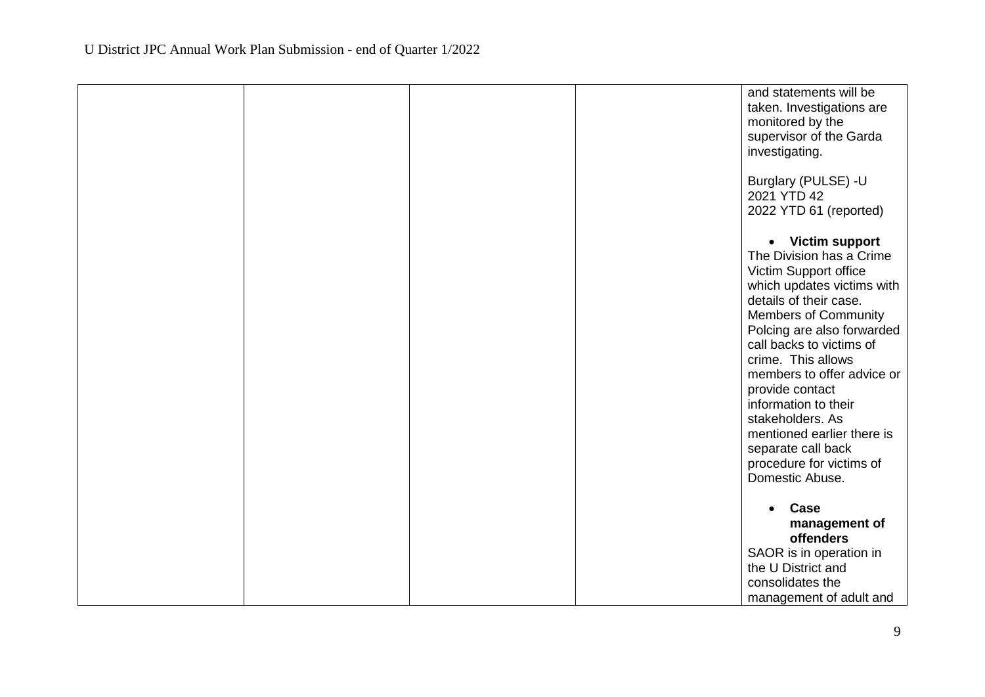|  |  | and statements will be<br>taken. Investigations are<br>monitored by the<br>supervisor of the Garda<br>investigating.                                                                                                                                                                                                                                                                                                                         |
|--|--|----------------------------------------------------------------------------------------------------------------------------------------------------------------------------------------------------------------------------------------------------------------------------------------------------------------------------------------------------------------------------------------------------------------------------------------------|
|  |  | Burglary (PULSE) -U<br>2021 YTD 42<br>2022 YTD 61 (reported)                                                                                                                                                                                                                                                                                                                                                                                 |
|  |  | • Victim support<br>The Division has a Crime<br>Victim Support office<br>which updates victims with<br>details of their case.<br><b>Members of Community</b><br>Polcing are also forwarded<br>call backs to victims of<br>crime. This allows<br>members to offer advice or<br>provide contact<br>information to their<br>stakeholders. As<br>mentioned earlier there is<br>separate call back<br>procedure for victims of<br>Domestic Abuse. |
|  |  | Case<br>$\bullet$                                                                                                                                                                                                                                                                                                                                                                                                                            |
|  |  | management of<br>offenders                                                                                                                                                                                                                                                                                                                                                                                                                   |
|  |  | SAOR is in operation in                                                                                                                                                                                                                                                                                                                                                                                                                      |
|  |  | the U District and                                                                                                                                                                                                                                                                                                                                                                                                                           |
|  |  | consolidates the                                                                                                                                                                                                                                                                                                                                                                                                                             |
|  |  | management of adult and                                                                                                                                                                                                                                                                                                                                                                                                                      |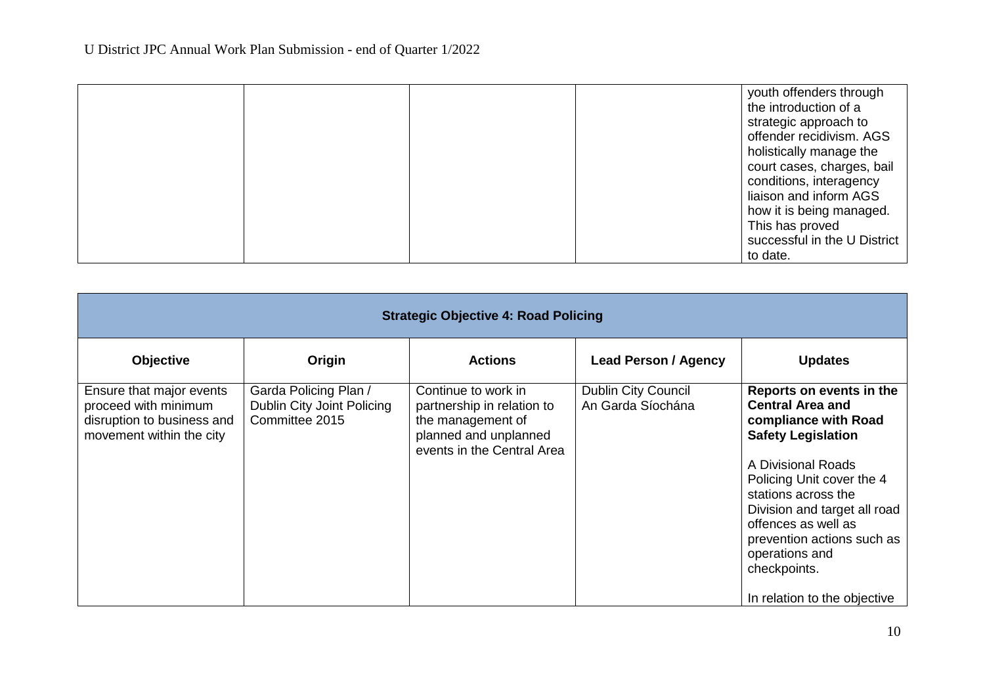|  |  | youth offenders through<br>the introduction of a<br>strategic approach to<br>offender recidivism. AGS<br>holistically manage the |
|--|--|----------------------------------------------------------------------------------------------------------------------------------|
|  |  | court cases, charges, bail<br>conditions, interagency<br>liaison and inform AGS                                                  |
|  |  | how it is being managed.<br>This has proved                                                                                      |
|  |  | successful in the U District<br>to date.                                                                                         |

| <b>Strategic Objective 4: Road Policing</b>                                                                |                                                                       |                                                                                                                               |                                                 |                                                                                                                                                                                                                                                                                                           |  |  |  |
|------------------------------------------------------------------------------------------------------------|-----------------------------------------------------------------------|-------------------------------------------------------------------------------------------------------------------------------|-------------------------------------------------|-----------------------------------------------------------------------------------------------------------------------------------------------------------------------------------------------------------------------------------------------------------------------------------------------------------|--|--|--|
| <b>Objective</b>                                                                                           | Origin                                                                | <b>Actions</b>                                                                                                                | <b>Lead Person / Agency</b>                     | <b>Updates</b>                                                                                                                                                                                                                                                                                            |  |  |  |
| Ensure that major events<br>proceed with minimum<br>disruption to business and<br>movement within the city | Garda Policing Plan /<br>Dublin City Joint Policing<br>Committee 2015 | Continue to work in<br>partnership in relation to<br>the management of<br>planned and unplanned<br>events in the Central Area | <b>Dublin City Council</b><br>An Garda Síochána | Reports on events in the<br><b>Central Area and</b><br>compliance with Road<br><b>Safety Legislation</b><br>A Divisional Roads<br>Policing Unit cover the 4<br>stations across the<br>Division and target all road<br>offences as well as<br>prevention actions such as<br>operations and<br>checkpoints. |  |  |  |
|                                                                                                            |                                                                       |                                                                                                                               |                                                 | In relation to the objective                                                                                                                                                                                                                                                                              |  |  |  |